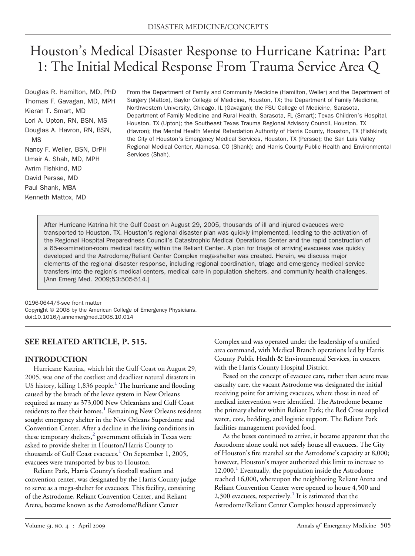# Houston's Medical Disaster Response to Hurricane Katrina: Part 1: The Initial Medical Response From Trauma Service Area Q

Douglas R. Hamilton, MD, PhD Thomas F. Gavagan, MD, MPH Kieran T. Smart, MD Lori A. Upton, RN, BSN, MS Douglas A. Havron, RN, BSN, MS Nancy F. Weller, BSN, DrPH Umair A. Shah, MD, MPH Avrim Fishkind, MD David Persse, MD Paul Shank, MBA Kenneth Mattox, MD

From the Department of Family and Community Medicine (Hamilton, Weller) and the Department of Surgery (Mattox), Baylor College of Medicine, Houston, TX; the Department of Family Medicine, Northwestern University, Chicago, IL (Gavagan); the FSU College of Medicine, Sarasota, Department of Family Medicine and Rural Health, Sarasota, FL (Smart); Texas Children's Hospital, Houston, TX (Upton); the Southeast Texas Trauma Regional Advisory Council, Houston, TX (Havron); the Mental Health Mental Retardation Authority of Harris County, Houston, TX (Fishkind); the City of Houston's Emergency Medical Services, Houston, TX (Persse); the San Luis Valley Regional Medical Center, Alamosa, CO (Shank); and Harris County Public Health and Environmental Services (Shah).

After Hurricane Katrina hit the Gulf Coast on August 29, 2005, thousands of ill and injured evacuees were transported to Houston, TX. Houston's regional disaster plan was quickly implemented, leading to the activation of the Regional Hospital Preparedness Council's Catastrophic Medical Operations Center and the rapid construction of a 65-examination-room medical facility within the Reliant Center. A plan for triage of arriving evacuees was quickly developed and the Astrodome/Reliant Center Complex mega-shelter was created. Herein, we discuss major elements of the regional disaster response, including regional coordination, triage and emergency medical service transfers into the region's medical centers, medical care in population shelters, and community health challenges. [Ann Emerg Med. 2009;53:505-514.]

0196-0644/\$-see front matter Copyright © 2008 by the American College of Emergency Physicians. doi:10.1016/j.annemergmed.2008.10.014

## **SEE RELATED ARTICLE, P. 515.**

#### **INTRODUCTION**

Hurricane Katrina, which hit the Gulf Coast on August 29, 2005, was one of the costliest and deadliest natural disasters in US history, killing [1](#page-9-0),836 people.<sup>1</sup> The hurricane and flooding caused by the breach of the levee system in New Orleans required as many as 373,000 New Orleanians and Gulf Coast residents to flee their homes.<sup>[1](#page-9-0)</sup> Remaining New Orleans residents sought emergency shelter in the New Orleans Superdome and Convention Center. After a decline in the living conditions in these temporary shelters, $2$  government officials in Texas were asked to provide shelter in Houston/Harris County to thousands of Gulf Coast evacuees.<sup>[1](#page-9-0)</sup> On September 1, 2005, evacuees were transported by bus to Houston.

Reliant Park, Harris County's football stadium and convention center, was designated by the Harris County judge to serve as a mega-shelter for evacuees. This facility, consisting of the Astrodome, Reliant Convention Center, and Reliant Arena, became known as the Astrodome/Reliant Center

Complex and was operated under the leadership of a unified area command, with Medical Branch operations led by Harris County Public Health & Environmental Services, in concert with the Harris County Hospital District.

Based on the concept of evacuee care, rather than acute mass casualty care, the vacant Astrodome was designated the initial receiving point for arriving evacuees, where those in need of medical intervention were identified. The Astrodome became the primary shelter within Reliant Park; the Red Cross supplied water, cots, bedding, and logistic support. The Reliant Park facilities management provided food.

As the buses continued to arrive, it became apparent that the Astrodome alone could not safely house all evacuees. The City of Houston's fire marshal set the Astrodome's capacity at 8,000; however, Houston's mayor authorized this limit to increase to [1](#page-9-0)2,000.<sup>1</sup> Eventually, the population inside the Astrodome reached 16,000, whereupon the neighboring Reliant Arena and Reliant Convention Center were opened to house 4,500 and 2,300 evacuees, respectively.<sup>[1](#page-9-0)</sup> It is estimated that the Astrodome/Reliant Center Complex housed approximately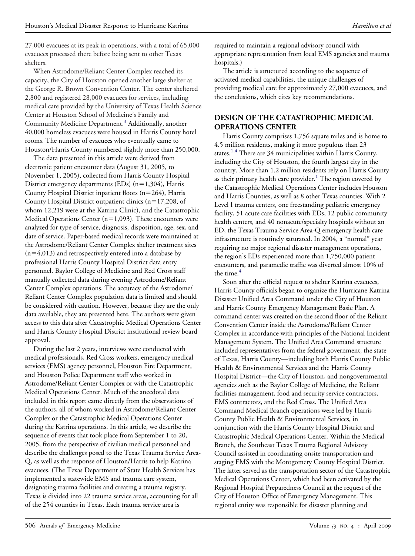27,000 evacuees at its peak in operations, with a total of 65,000 evacuees processed there before being sent to other Texas shelters.

When Astrodome/Reliant Center Complex reached its capacity, the City of Houston opened another large shelter at the George R. Brown Convention Center. The center sheltered 2,800 and registered 28,000 evacuees for services, including medical care provided by the University of Texas Health Science Center at Houston School of Medicine's Family and Community Medicine Department.<sup>[3](#page-9-0)</sup> Additionally, another 40,000 homeless evacuees were housed in Harris County hotel rooms. The number of evacuees who eventually came to Houston/Harris County numbered slightly more than 250,000.

The data presented in this article were derived from electronic patient encounter data (August 31, 2005, to November 1, 2005), collected from Harris County Hospital District emergency departments (EDs)  $(n=1,304)$ , Harris County Hospital District inpatient floors  $(n=264)$ , Harris County Hospital District outpatient clinics  $(n=17,208,$  of whom 12,219 were at the Katrina Clinic), and the Catastrophic Medical Operations Center ( $n=1,093$ ). These encounters were analyzed for type of service, diagnosis, disposition, age, sex, and date of service. Paper-based medical records were maintained at the Astrodome/Reliant Center Complex shelter treatment sites  $(n=4,013)$  and retrospectively entered into a database by professional Harris County Hospital District data entry personnel. Baylor College of Medicine and Red Cross staff manually collected data during evening Astrodome/Reliant Center Complex operations. The accuracy of the Astrodome/ Reliant Center Complex population data is limited and should be considered with caution. However, because they are the only data available, they are presented here. The authors were given access to this data after Catastrophic Medical Operations Center and Harris County Hospital District institutional review board approval.

During the last 2 years, interviews were conducted with medical professionals, Red Cross workers, emergency medical services (EMS) agency personnel, Houston Fire Department, and Houston Police Department staff who worked in Astrodome/Reliant Center Complex or with the Catastrophic Medical Operations Center. Much of the anecdotal data included in this report came directly from the observations of the authors, all of whom worked in Astrodome/Reliant Center Complex or the Catastrophic Medical Operations Center during the Katrina operations. In this article, we describe the sequence of events that took place from September 1 to 20, 2005, from the perspective of civilian medical personnel and describe the challenges posed to the Texas Trauma Service Area-Q, as well as the response of Houston/Harris to help Katrina evacuees. (The Texas Department of State Health Services has implemented a statewide EMS and trauma care system, designating trauma facilities and creating a trauma registry. Texas is divided into 22 trauma service areas, accounting for all of the 254 counties in Texas. Each trauma service area is

required to maintain a regional advisory council with appropriate representation from local EMS agencies and trauma hospitals.)

The article is structured according to the sequence of activated medical capabilities, the unique challenges of providing medical care for approximately 27,000 evacuees, and the conclusions, which cites key recommendations.

#### **DESIGN OF THE CATASTROPHIC MEDICAL OPERATIONS CENTER**

Harris County comprises 1,756 square miles and is home to 4.5 million residents, making it more populous than 23 states.<sup>[1,4](#page-9-0)</sup> There are 34 municipalities within Harris County, including the City of Houston, the fourth largest city in the country. More than 1.2 million residents rely on Harris County as their primary health care provider.<sup>[1](#page-9-0)</sup> The region covered by the Catastrophic Medical Operations Center includes Houston and Harris Counties, as well as 8 other Texas counties. With 2 Level I trauma centers, one freestanding pediatric emergency facility, 51 acute care facilities with EDs, 12 public community health centers, and 40 nonacute/specialty hospitals without an ED, the Texas Trauma Service Area-Q emergency health care infrastructure is routinely saturated. In 2004, a "normal" year requiring no major regional disaster management operations, the region's EDs experienced more than 1,750,000 patient encounters, and paramedic traffic was diverted almost 10% of the time. $4$ 

Soon after the official request to shelter Katrina evacuees, Harris County officials began to organize the Hurricane Katrina Disaster Unified Area Command under the City of Houston and Harris County Emergency Management Basic Plan. A command center was created on the second floor of the Reliant Convention Center inside the Astrodome/Reliant Center Complex in accordance with principles of the National Incident Management System. The Unified Area Command structure included representatives from the federal government, the state of Texas, Harris County—including both Harris County Public Health & Environmental Services and the Harris County Hospital District—the City of Houston, and nongovernmental agencies such as the Baylor College of Medicine, the Reliant facilities management, food and security service contractors, EMS contractors, and the Red Cross. The Unified Area Command Medical Branch operations were led by Harris County Public Health & Environmental Services, in conjunction with the Harris County Hospital District and Catastrophic Medical Operations Center. Within the Medical Branch, the Southeast Texas Trauma Regional Advisory Council assisted in coordinating onsite transportation and staging EMS with the Montgomery County Hospital District. The latter served as the transportation sector of the Catastrophic Medical Operations Center, which had been activated by the Regional Hospital Preparedness Council at the request of the City of Houston Office of Emergency Management. This regional entity was responsible for disaster planning and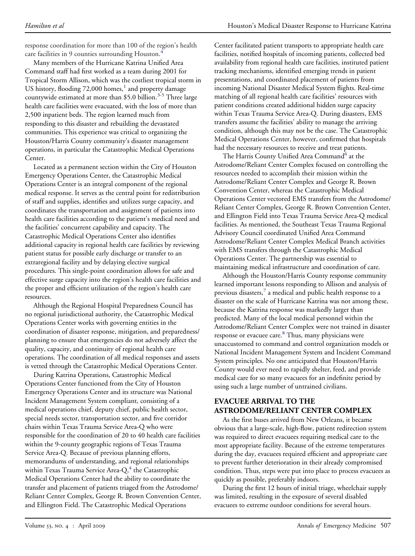response coordination for more than 100 of the region's health care facilities in 9 counties surrounding Houston.<sup>[4](#page-9-0)</sup>

Many members of the Hurricane Katrina Unified Area Command staff had first worked as a team during 2001 for Tropical Storm Allison, which was the costliest tropical storm in US history, flooding  $72,000$  homes, $<sup>1</sup>$  $<sup>1</sup>$  $<sup>1</sup>$  and property damage</sup> countywide estimated at more than \$5.0 billion. $3.5$  Three large health care facilities were evacuated, with the loss of more than 2,500 inpatient beds. The region learned much from responding to this disaster and rebuilding the devastated communities. This experience was critical to organizing the Houston/Harris County community's disaster management operations, in particular the Catastrophic Medical Operations Center.

Located as a permanent section within the City of Houston Emergency Operations Center, the Catastrophic Medical Operations Center is an integral component of the regional medical response. It serves as the central point for redistribution of staff and supplies, identifies and utilizes surge capacity, and coordinates the transportation and assignment of patients into health care facilities according to the patient's medical need and the facilities' concurrent capability and capacity. The Catastrophic Medical Operations Center also identifies additional capacity in regional health care facilities by reviewing patient status for possible early discharge or transfer to an extraregional facility and by delaying elective surgical procedures. This single-point coordination allows for safe and effective surge capacity into the region's health care facilities and the proper and efficient utilization of the region's health care resources.

Although the Regional Hospital Preparedness Council has no regional jurisdictional authority, the Catastrophic Medical Operations Center works with governing entities in the coordination of disaster response, mitigation, and preparedness/ planning to ensure that emergencies do not adversely affect the quality, capacity, and continuity of regional health care operations. The coordination of all medical responses and assets is vetted through the Catastrophic Medical Operations Center.

During Katrina Operations, Catastrophic Medical Operations Center functioned from the City of Houston Emergency Operations Center and its structure was National Incident Management System compliant, consisting of a medical operations chief, deputy chief, public health sector, special needs sector, transportation sector, and five corridor chairs within Texas Trauma Service Area-Q who were responsible for the coordination of 20 to 40 health care facilities within the 9-county geographic regions of Texas Trauma Service Area-Q. Because of previous planning efforts, memorandums of understanding, and regional relationships within Texas Trauma Service Area- $Q,^4$  the Catastrophic Medical Operations Center had the ability to coordinate the transfer and placement of patients triaged from the Astrodome/ Reliant Center Complex, George R. Brown Convention Center, and Ellington Field. The Catastrophic Medical Operations

Center facilitated patient transports to appropriate health care facilities, notified hospitals of incoming patients, collected bed availability from regional health care facilities, instituted patient tracking mechanisms, identified emerging trends in patient presentations, and coordinated placement of patients from incoming National Disaster Medical System flights. Real-time matching of all regional health care facilities' resources with patient conditions created additional hidden surge capacity within Texas Trauma Service Area-Q. During disasters, EMS transfers assume the facilities' ability to manage the arriving condition, although this may not be the case. The Catastrophic Medical Operations Center, however, confirmed that hospitals had the necessary resources to receive and treat patients.

The Harris County Unified Area Command<sup>[6](#page-9-0)</sup> at the Astrodome/Reliant Center Complex focused on controlling the resources needed to accomplish their mission within the Astrodome/Reliant Center Complex and George R. Brown Convention Center, whereas the Catastrophic Medical Operations Center vectored EMS transfers from the Astrodome/ Reliant Center Complex, George R. Brown Convention Center, and Ellington Field into Texas Trauma Service Area-Q medical facilities. As mentioned, the Southeast Texas Trauma Regional Advisory Council coordinated Unified Area Command Astrodome/Reliant Center Complex Medical Branch activities with EMS transfers through the Catastrophic Medical Operations Center. The partnership was essential to maintaining medical infrastructure and coordination of care.

Although the Houston/Harris County response community learned important lessons responding to Allison and analysis of previous disasters, $^7$  a medical and public health response to a disaster on the scale of Hurricane Katrina was not among these, because the Katrina response was markedly larger than predicted. Many of the local medical personnel within the Astrodome/Reliant Center Complex were not trained in disaster response or evacuee care.<sup>8</sup> Thus, many physicians were unaccustomed to command and control organization models or National Incident Management System and Incident Command System principles. No one anticipated that Houston/Harris County would ever need to rapidly shelter, feed, and provide medical care for so many evacuees for an indefinite period by using such a large number of untrained civilians.

### **EVACUEE ARRIVAL TO THE ASTRODOME/RELIANT CENTER COMPLEX**

As the first buses arrived from New Orleans, it became obvious that a large-scale, high-flow, patient redirection system was required to direct evacuees requiring medical care to the most appropriate facility. Because of the extreme temperatures during the day, evacuees required efficient and appropriate care to prevent further deterioration in their already compromised condition. Thus, steps were put into place to process evacuees as quickly as possible, preferably indoors.

During the first 12 hours of initial triage, wheelchair supply was limited, resulting in the exposure of several disabled evacuees to extreme outdoor conditions for several hours.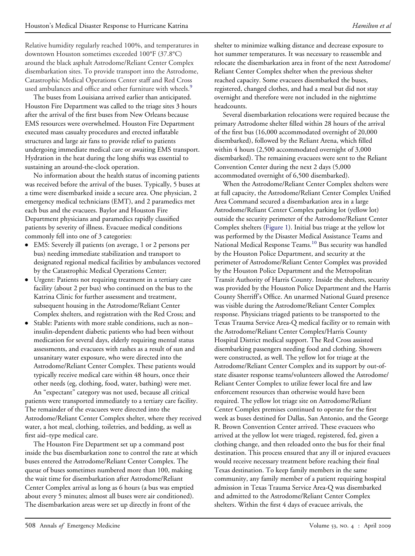Relative humidity regularly reached 100%, and temperatures in downtown Houston sometimes exceeded 100°F (37.8°C) around the black asphalt Astrodome/Reliant Center Complex disembarkation sites. To provide transport into the Astrodome, Catastrophic Medical Operations Center staff and Red Cross used ambulances and office and other furniture with wheels.<sup>[9](#page-9-0)</sup>

The buses from Louisiana arrived earlier than anticipated. Houston Fire Department was called to the triage sites 3 hours after the arrival of the first buses from New Orleans because EMS resources were overwhelmed. Houston Fire Department executed mass casualty procedures and erected inflatable structures and large air fans to provide relief to patients undergoing immediate medical care or awaiting EMS transport. Hydration in the heat during the long shifts was essential to sustaining an around-the-clock operation.

No information about the health status of incoming patients was received before the arrival of the buses. Typically, 5 buses at a time were disembarked inside a secure area. One physician, 2 emergency medical technicians (EMT), and 2 paramedics met each bus and the evacuees. Baylor and Houston Fire Department physicians and paramedics rapidly classified patients by severity of illness. Evacuee medical conditions commonly fell into one of 3 categories:

- EMS: Severely ill patients (on average, 1 or 2 persons per bus) needing immediate stabilization and transport to designated regional medical facilities by ambulances vectored by the Catastrophic Medical Operations Center;
- Urgent: Patients not requiring treatment in a tertiary care facility (about 2 per bus) who continued on the bus to the Katrina Clinic for further assessment and treatment, subsequent housing in the Astrodome/Reliant Center Complex shelters, and registration with the Red Cross; and
- Stable: Patients with more stable conditions, such as non– insulin-dependent diabetic patients who had been without medication for several days, elderly requiring mental status assessments, and evacuees with rashes as a result of sun and unsanitary water exposure, who were directed into the Astrodome/Reliant Center Complex. These patients would typically receive medical care within 48 hours, once their other needs (eg, clothing, food, water, bathing) were met. An "expectant" category was not used, because all critical patients were transported immediately to a tertiary care facility. The remainder of the evacuees were directed into the Astrodome/Reliant Center Complex shelter, where they received water, a hot meal, clothing, toiletries, and bedding, as well as first aid–type medical care.

The Houston Fire Department set up a command post inside the bus disembarkation zone to control the rate at which buses entered the Astrodome/Reliant Center Complex. The queue of buses sometimes numbered more than 100, making the wait time for disembarkation after Astrodome/Reliant Center Complex arrival as long as 6 hours (a bus was emptied about every 5 minutes; almost all buses were air conditioned). The disembarkation areas were set up directly in front of the

shelter to minimize walking distance and decrease exposure to hot summer temperatures. It was necessary to reassemble and relocate the disembarkation area in front of the next Astrodome/ Reliant Center Complex shelter when the previous shelter reached capacity. Some evacuees disembarked the buses, registered, changed clothes, and had a meal but did not stay overnight and therefore were not included in the nighttime headcounts.

Several disembarkation relocations were required because the primary Astrodome shelter filled within 28 hours of the arrival of the first bus (16,000 accommodated overnight of 20,000 disembarked), followed by the Reliant Arena, which filled within 4 hours (2,500 accommodated overnight of 3,000 disembarked). The remaining evacuees were sent to the Reliant Convention Center during the next 2 days (5,000 accommodated overnight of 6,500 disembarked).

When the Astrodome/Reliant Center Complex shelters were at full capacity, the Astrodome/Reliant Center Complex Unified Area Command secured a disembarkation area in a large Astrodome/Reliant Center Complex parking lot (yellow lot) outside the security perimeter of the Astrodome/Reliant Center Complex shelters [\(Figure 1\)](#page-4-0). Initial bus triage at the yellow lot was performed by the Disaster Medical Assistance Teams and National Medical Response Teams.[10](#page-9-0) Bus security was handled by the Houston Police Department, and security at the perimeter of Astrodome/Reliant Center Complex was provided by the Houston Police Department and the Metropolitan Transit Authority of Harris County. Inside the shelters, security was provided by the Houston Police Department and the Harris County Sherriff's Office. An unarmed National Guard presence was visible during the Astrodome/Reliant Center Complex response. Physicians triaged patients to be transported to the Texas Trauma Service Area-Q medical facility or to remain with the Astrodome/Reliant Center Complex/Harris County Hospital District medical support. The Red Cross assisted disembarking passengers needing food and clothing. Showers were constructed, as well. The yellow lot for triage at the Astrodome/Reliant Center Complex and its support by out-ofstate disaster response teams/volunteers allowed the Astrodome/ Reliant Center Complex to utilize fewer local fire and law enforcement resources than otherwise would have been required. The yellow lot triage site on Astrodome/Reliant Center Complex premises continued to operate for the first week as buses destined for Dallas, San Antonio, and the George R. Brown Convention Center arrived. These evacuees who arrived at the yellow lot were triaged, registered, fed, given a clothing change, and then reloaded onto the bus for their final destination. This process ensured that any ill or injured evacuees would receive necessary treatment before reaching their final Texas destination. To keep family members in the same community, any family member of a patient requiring hospital admission in Texas Trauma Service Area-Q was disembarked and admitted to the Astrodome/Reliant Center Complex shelters. Within the first 4 days of evacuee arrivals, the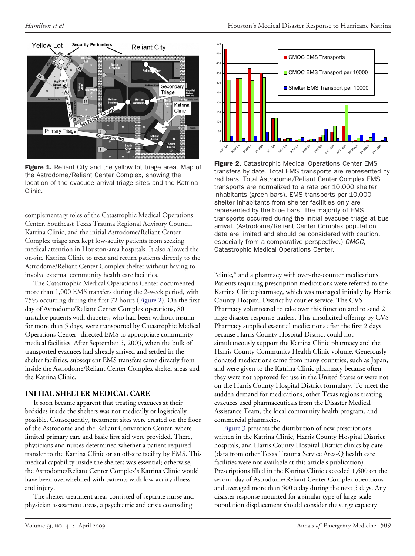<span id="page-4-0"></span>

Figure 1. Reliant City and the yellow lot triage area. Map of the Astrodome/Reliant Center Complex, showing the location of the evacuee arrival triage sites and the Katrina Clinic.

complementary roles of the Catastrophic Medical Operations Center, Southeast Texas Trauma Regional Advisory Council, Katrina Clinic, and the initial Astrodome/Reliant Center Complex triage area kept low-acuity patients from seeking medical attention in Houston-area hospitals. It also allowed the on-site Katrina Clinic to treat and return patients directly to the Astrodome/Reliant Center Complex shelter without having to involve external community health care facilities.

The Catastrophic Medical Operations Center documented more than 1,000 EMS transfers during the 2-week period, with 75% occurring during the first 72 hours (Figure 2). On the first day of Astrodome/Reliant Center Complex operations, 80 unstable patients with diabetes, who had been without insulin for more than 5 days, were transported by Catastrophic Medical Operations Center–directed EMS to appropriate community medical facilities. After September 5, 2005, when the bulk of transported evacuees had already arrived and settled in the shelter facilities, subsequent EMS transfers came directly from inside the Astrodome/Reliant Center Complex shelter areas and the Katrina Clinic.

## **INITIAL SHELTER MEDICAL CARE**

It soon became apparent that treating evacuees at their bedsides inside the shelters was not medically or logistically possible. Consequently, treatment sites were created on the floor of the Astrodome and the Reliant Convention Center, where limited primary care and basic first aid were provided. There, physicians and nurses determined whether a patient required transfer to the Katrina Clinic or an off-site facility by EMS. This medical capability inside the shelters was essential; otherwise, the Astrodome/Reliant Center Complex's Katrina Clinic would have been overwhelmed with patients with low-acuity illness and injury.

The shelter treatment areas consisted of separate nurse and physician assessment areas, a psychiatric and crisis counseling



Figure 2. Catastrophic Medical Operations Center EMS transfers by date. Total EMS transports are represented by red bars. Total Astrodome/Reliant Center Complex EMS transports are normalized to a rate per 10,000 shelter inhabitants (green bars). EMS transports per 10,000 shelter inhabitants from shelter facilities only are represented by the blue bars. The majority of EMS transports occurred during the initial evacuee triage at bus arrival. (Astrodome/Reliant Center Complex population data are limited and should be considered with caution, especially from a comparative perspective.) *CMOC*, Catastrophic Medical Operations Center.

"clinic," and a pharmacy with over-the-counter medications. Patients requiring prescription medications were referred to the Katrina Clinic pharmacy, which was managed initially by Harris County Hospital District by courier service. The CVS Pharmacy volunteered to take over this function and to send 2 large disaster response trailers. This unsolicited offering by CVS Pharmacy supplied essential medications after the first 2 days because Harris County Hospital District could not simultaneously support the Katrina Clinic pharmacy and the Harris County Community Health Clinic volume. Generously donated medications came from many countries, such as Japan, and were given to the Katrina Clinic pharmacy because often they were not approved for use in the United States or were not on the Harris County Hospital District formulary. To meet the sudden demand for medications, other Texas regions treating evacuees used pharmaceuticals from the Disaster Medical Assistance Team, the local community health program, and commercial pharmacies.

[Figure 3](#page-5-0) presents the distribution of new prescriptions written in the Katrina Clinic, Harris County Hospital District hospitals, and Harris County Hospital District clinics by date (data from other Texas Trauma Service Area-Q health care facilities were not available at this article's publication). Prescriptions filled in the Katrina Clinic exceeded 1,600 on the second day of Astrodome/Reliant Center Complex operations and averaged more than 500 a day during the next 5 days. Any disaster response mounted for a similar type of large-scale population displacement should consider the surge capacity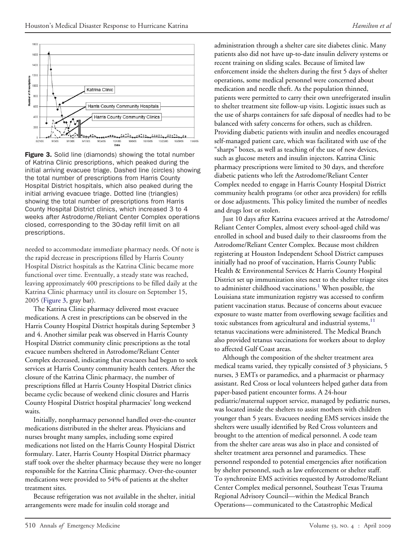<span id="page-5-0"></span>

Figure 3. Solid line (diamonds) showing the total number of Katrina Clinic prescriptions, which peaked during the initial arriving evacuee triage. Dashed line (circles) showing the total number of prescriptions from Harris County Hospital District hospitals, which also peaked during the initial arriving evacuee triage. Dotted line (triangles) showing the total number of prescriptions from Harris County Hospital District clinics, which increased 3 to 4 weeks after Astrodome/Reliant Center Complex operations closed, corresponding to the 30-day refill limit on all prescriptions.

needed to accommodate immediate pharmacy needs. Of note is the rapid decrease in prescriptions filled by Harris County Hospital District hospitals as the Katrina Clinic became more functional over time. Eventually, a steady state was reached, leaving approximately 400 prescriptions to be filled daily at the Katrina Clinic pharmacy until its closure on September 15, 2005 (Figure 3, gray bar).

The Katrina Clinic pharmacy delivered most evacuee medications. A crest in prescriptions can be observed in the Harris County Hospital District hospitals during September 3 and 4. Another similar peak was observed in Harris County Hospital District community clinic prescriptions as the total evacuee numbers sheltered in Astrodome/Reliant Center Complex decreased, indicating that evacuees had begun to seek services at Harris County community health centers. After the closure of the Katrina Clinic pharmacy, the number of prescriptions filled at Harris County Hospital District clinics became cyclic because of weekend clinic closures and Harris County Hospital District hospital pharmacies' long weekend waits.

Initially, nonpharmacy personnel handled over-the-counter medications distributed in the shelter areas. Physicians and nurses brought many samples, including some expired medications not listed on the Harris County Hospital District formulary. Later, Harris County Hospital District pharmacy staff took over the shelter pharmacy because they were no longer responsible for the Katrina Clinic pharmacy. Over-the-counter medications were provided to 54% of patients at the shelter treatment sites.

Because refrigeration was not available in the shelter, initial arrangements were made for insulin cold storage and

administration through a shelter care site diabetes clinic. Many patients also did not have up-to-date insulin delivery systems or recent training on sliding scales. Because of limited law enforcement inside the shelters during the first 5 days of shelter operations, some medical personnel were concerned about medication and needle theft. As the population thinned, patients were permitted to carry their own unrefrigerated insulin to shelter treatment site follow-up visits. Logistic issues such as the use of sharps containers for safe disposal of needles had to be balanced with safety concerns for others, such as children. Providing diabetic patients with insulin and needles encouraged self-managed patient care, which was facilitated with use of the "sharps" boxes, as well as teaching of the use of new devices, such as glucose meters and insulin injectors. Katrina Clinic pharmacy prescriptions were limited to 30 days, and therefore diabetic patients who left the Astrodome/Reliant Center Complex needed to engage in Harris County Hospital District community health programs (or other area providers) for refills or dose adjustments. This policy limited the number of needles and drugs lost or stolen.

Just 10 days after Katrina evacuees arrived at the Astrodome/ Reliant Center Complex, almost every school-aged child was enrolled in school and bused daily to their classrooms from the Astrodome/Reliant Center Complex. Because most children registering at Houston Independent School District campuses initially had no proof of vaccination, Harris County Public Health & Environmental Services & Harris County Hospital District set up immunization sites next to the shelter triage sites to administer childhood vaccinations.<sup>[1](#page-9-0)</sup> When possible, the Louisiana state immunization registry was accessed to confirm patient vaccination status. Because of concerns about evacuee exposure to waste matter from overflowing sewage facilities and toxic substances from agricultural and industrial systems, $11$ tetanus vaccinations were administered. The Medical Branch also provided tetanus vaccinations for workers about to deploy to affected Gulf Coast areas.

Although the composition of the shelter treatment area medical teams varied, they typically consisted of 3 physicians, 5 nurses, 3 EMTs or paramedics, and a pharmacist or pharmacy assistant. Red Cross or local volunteers helped gather data from paper-based patient encounter forms. A 24-hour pediatric/maternal support service, managed by pediatric nurses, was located inside the shelters to assist mothers with children younger than 5 years. Evacuees needing EMS services inside the shelters were usually identified by Red Cross volunteers and brought to the attention of medical personnel. A code team from the shelter care areas was also in place and consisted of shelter treatment area personnel and paramedics. These personnel responded to potential emergencies after notification by shelter personnel, such as law enforcement or shelter staff. To synchronize EMS activities requested by Astrodome/Reliant Center Complex medical personnel, Southeast Texas Trauma Regional Advisory Council—within the Medical Branch Operations—communicated to the Catastrophic Medical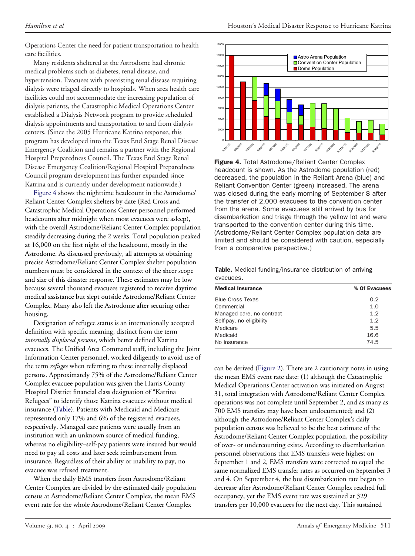Many residents sheltered at the Astrodome had chronic medical problems such as diabetes, renal disease, and hypertension. Evacuees with preexisting renal disease requiring dialysis were triaged directly to hospitals. When area health care facilities could not accommodate the increasing population of dialysis patients, the Catastrophic Medical Operations Center established a Dialysis Network program to provide scheduled dialysis appointments and transportation to and from dialysis centers. (Since the 2005 Hurricane Katrina response, this program has developed into the Texas End Stage Renal Disease Emergency Coalition and remains a partner with the Regional Hospital Preparedness Council. The Texas End Stage Renal Disease Emergency Coalition/Regional Hospital Preparedness Council program development has further expanded since Katrina and is currently under development nationwide.)

Figure 4 shows the nighttime headcount in the Astrodome/ Reliant Center Complex shelters by date (Red Cross and Catastrophic Medical Operations Center personnel performed headcounts after midnight when most evacuees were asleep), with the overall Astrodome/Reliant Center Complex population steadily decreasing during the 2 weeks. Total population peaked at 16,000 on the first night of the headcount, mostly in the Astrodome. As discussed previously, all attempts at obtaining precise Astrodome/Reliant Center Complex shelter population numbers must be considered in the context of the sheer scope and size of this disaster response. These estimates may be low because several thousand evacuees registered to receive daytime medical assistance but slept outside Astrodome/Reliant Center Complex. Many also left the Astrodome after securing other housing.

Designation of refugee status is an internationally accepted definition with specific meaning, distinct from the term *internally displaced persons*, which better defined Katrina evacuees. The Unified Area Command staff, including the Joint Information Center personnel, worked diligently to avoid use of the term *refugee* when referring to these internally displaced persons. Approximately 75% of the Astrodome/Reliant Center Complex evacuee population was given the Harris County Hospital District financial class designation of "Katrina Refugees" to identify those Katrina evacuees without medical insurance (Table). Patients with Medicaid and Medicare represented only 17% and 6% of the registered evacuees, respectively. Managed care patients were usually from an institution with an unknown source of medical funding, whereas no eligibility–self-pay patients were insured but would need to pay all costs and later seek reimbursement from insurance. Regardless of their ability or inability to pay, no evacuee was refused treatment.

When the daily EMS transfers from Astrodome/Reliant Center Complex are divided by the estimated daily population census at Astrodome/Reliant Center Complex, the mean EMS event rate for the whole Astrodome/Reliant Center Complex





Figure 4. Total Astrodome/Reliant Center Complex headcount is shown. As the Astrodome population (red) decreased, the population in the Reliant Arena (blue) and Reliant Convention Center (green) increased. The arena was closed during the early morning of September 8 after the transfer of 2,000 evacuees to the convention center from the arena. Some evacuees still arrived by bus for disembarkation and triage through the yellow lot and were transported to the convention center during this time. (Astrodome/Reliant Center Complex population data are limited and should be considered with caution, especially from a comparative perspective.)

Table. Medical funding/insurance distribution of arriving evacuees.

| <b>Medical Insurance</b>  | % Of Evacuees |
|---------------------------|---------------|
| <b>Blue Cross Texas</b>   | 0.2           |
| Commercial                | 1.0           |
| Managed care, no contract | 1.2           |
| Self-pay, no eligibility  | 1.2           |
| Medicare                  | 5.5           |
| Medicaid                  | 16.6          |
| No insurance              | 74.5          |

can be derived [\(Figure 2\)](#page-4-0). There are 2 cautionary notes in using the mean EMS event rate date: (1) although the Catastrophic Medical Operations Center activation was initiated on August 31, total integration with Astrodome/Reliant Center Complex operations was not complete until September 2, and as many as 700 EMS transfers may have been undocumented; and (2) although the Astrodome/Reliant Center Complex's daily population census was believed to be the best estimate of the Astrodome/Reliant Center Complex population, the possibility of over- or undercounting exists. According to disembarkation personnel observations that EMS transfers were highest on September 1 and 2, EMS transfers were corrected to equal the same normalized EMS transfer rates as occurred on September 3 and 4. On September 4, the bus disembarkation rate began to decrease after Astrodome/Reliant Center Complex reached full occupancy, yet the EMS event rate was sustained at 329 transfers per 10,000 evacuees for the next day. This sustained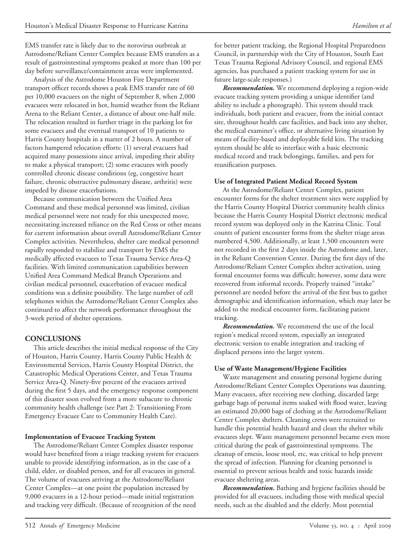EMS transfer rate is likely due to the norovirus outbreak at Astrodome/Reliant Center Complex because EMS transfers as a result of gastrointestinal symptoms peaked at more than 100 per day before surveillance/containment areas were implemented.

Analysis of the Astrodome Houston Fire Department transport officer records shows a peak EMS transfer rate of 60 per 10,000 evacuees on the night of September 8, when 2,000 evacuees were relocated in hot, humid weather from the Reliant Arena to the Reliant Center, a distance of about one-half mile. The relocation resulted in further triage in the parking lot for some evacuees and the eventual transport of 10 patients to Harris County hospitals in a matter of 2 hours. A number of factors hampered relocation efforts: (1) several evacuees had acquired many possessions since arrival, impeding their ability to make a physical transport; (2) some evacuees with poorly controlled chronic disease conditions (eg, congestive heart failure, chronic obstructive pulmonary disease, arthritis) were impeded by disease exacerbations.

Because communication between the Unified Area Command and these medical personnel was limited, civilian medical personnel were not ready for this unexpected move, necessitating increased reliance on the Red Cross or other means for current information about overall Astrodome/Reliant Center Complex activities. Nevertheless, shelter care medical personnel rapidly responded to stabilize and transport by EMS the medically affected evacuees to Texas Trauma Service Area-Q facilities. With limited communication capabilities between Unified Area Command Medical Branch Operations and civilian medical personnel, exacerbation of evacuee medical conditions was a definite possibility. The large number of cell telephones within the Astrodome/Reliant Center Complex also continued to affect the network performance throughout the 3-week period of shelter operations.

## **CONCLUSIONS**

This article describes the initial medical response of the City of Houston, Harris County, Harris County Public Health & Environmental Services, Harris County Hospital District, the Catastrophic Medical Operations Center, and Texas Trauma Service Area-Q. Ninety-five percent of the evacuees arrived during the first 5 days, and the emergency response component of this disaster soon evolved from a more subacute to chronic community health challenge (see Part 2: Transitioning From Emergency Evacuee Care to Community Health Care).

#### **Implementation of Evacuee Tracking System**

The Astrodome/Reliant Center Complex disaster response would have benefited from a triage tracking system for evacuees unable to provide identifying information, as in the case of a child, elder, or disabled person, and for all evacuees in general. The volume of evacuees arriving at the Astrodome/Reliant Center Complex—at one point the population increased by 9,000 evacuees in a 12-hour period—made initial registration and tracking very difficult. (Because of recognition of the need

for better patient tracking, the Regional Hospital Preparedness Council, in partnership with the City of Houston, South East Texas Trauma Regional Advisory Council, and regional EMS agencies, has purchased a patient tracking system for use in future large-scale responses.)

*Recommendation.* We recommend deploying a region-wide evacuee tracking system providing a unique identifier (and ability to include a photograph). This system should track individuals, both patient and evacuee, from the initial contact site, throughout health care facilities, and back into any shelter, the medical examiner's office, or alternative living situation by means of facility-based and deployable field kits. The tracking system should be able to interface with a basic electronic medical record and track belongings, families, and pets for reunification purposes.

#### **Use of Integrated Patient Medical Record System**

At the Astrodome/Reliant Center Complex, patient encounter forms for the shelter treatment sites were supplied by the Harris County Hospital District community health clinics because the Harris County Hospital District electronic medical record system was deployed only in the Katrina Clinic. Total counts of patient encounter forms from the shelter triage areas numbered 4,500. Additionally, at least 1,500 encounters were not recorded in the first 2 days inside the Astrodome and, later, in the Reliant Convention Center. During the first days of the Astrodome/Reliant Center Complex shelter activation, using formal encounter forms was difficult; however, some data were recovered from informal records. Properly trained "intake" personnel are needed before the arrival of the first bus to gather demographic and identification information, which may later be added to the medical encounter form, facilitating patient tracking.

*Recommendation.* We recommend the use of the local region's medical record system, especially an integrated electronic version to enable integration and tracking of displaced persons into the larger system.

#### **Use of Waste Management/Hygiene Facilities**

Waste management and ensuring personal hygiene during Astrodome/Reliant Center Complex Operations was daunting. Many evacuees, after receiving new clothing, discarded large garbage bags of personal items soaked with flood water, leaving an estimated 20,000 bags of clothing at the Astrodome/Reliant Center Complex shelters. Cleaning crews were recruited to handle this potential health hazard and clean the shelter while evacuees slept. Waste management personnel became even more critical during the peak of gastrointestinal symptoms. The cleanup of emesis, loose stool, etc, was critical to help prevent the spread of infection. Planning for cleaning personnel is essential to prevent serious health and toxic hazards inside evacuee sheltering areas.

*Recommendation.* Bathing and hygiene facilities should be provided for all evacuees, including those with medical special needs, such as the disabled and the elderly. Most potential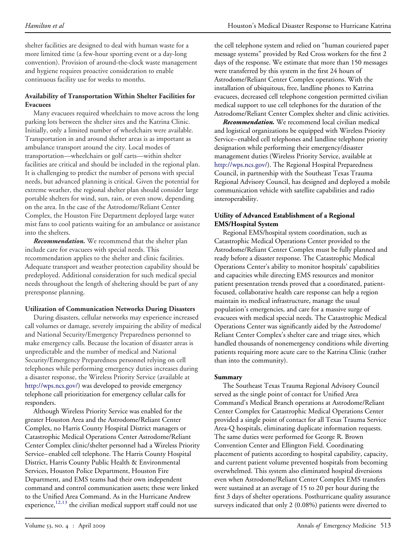shelter facilities are designed to deal with human waste for a more limited time (a few-hour sporting event or a day-long convention). Provision of around-the-clock waste management and hygiene requires proactive consideration to enable continuous facility use for weeks to months.

#### **Availability of Transportation Within Shelter Facilities for Evacuees**

Many evacuees required wheelchairs to move across the long parking lots between the shelter sites and the Katrina Clinic. Initially, only a limited number of wheelchairs were available. Transportation in and around shelter areas is as important as ambulance transport around the city. Local modes of transportation—wheelchairs or golf carts—within shelter facilities are critical and should be included in the regional plan. It is challenging to predict the number of persons with special needs, but advanced planning is critical. Given the potential for extreme weather, the regional shelter plan should consider large portable shelters for wind, sun, rain, or even snow, depending on the area. In the case of the Astrodome/Reliant Center Complex, the Houston Fire Department deployed large water mist fans to cool patients waiting for an ambulance or assistance into the shelters.

*Recommendation.* We recommend that the shelter plan include care for evacuees with special needs. This recommendation applies to the shelter and clinic facilities. Adequate transport and weather protection capability should be predeployed. Additional consideration for such medical special needs throughout the length of sheltering should be part of any preresponse planning.

#### **Utilization of Communication Networks During Disasters**

During disasters, cellular networks may experience increased call volumes or damage, severely impairing the ability of medical and National Security/Emergency Preparedness personnel to make emergency calls. Because the location of disaster areas is unpredictable and the number of medical and National Security/Emergency Preparedness personnel relying on cell telephones while performing emergency duties increases during a disaster response, the Wireless Priority Service (available at [http://wps.ncs.gov/\)](http://wps.ncs.gov/) was developed to provide emergency telephone call prioritization for emergency cellular calls for responders.

Although Wireless Priority Service was enabled for the greater Houston Area and the Astrodome/Reliant Center Complex, no Harris County Hospital District managers or Catastrophic Medical Operations Center Astrodome/Reliant Center Complex clinic/shelter personnel had a Wireless Priority Service–enabled cell telephone. The Harris County Hospital District, Harris County Public Health & Environmental Services, Houston Police Department, Houston Fire Department, and EMS teams had their own independent command and control communication assets; these were linked to the Unified Area Command. As in the Hurricane Andrew experience, $12,13$  the civilian medical support staff could not use

the cell telephone system and relied on "human couriered paper message systems" provided by Red Cross workers for the first 2 days of the response. We estimate that more than 150 messages were transferred by this system in the first 24 hours of Astrodome/Reliant Center Complex operations. With the installation of ubiquitous, free, landline phones to Katrina evacuees, decreased cell telephone congestion permitted civilian medical support to use cell telephones for the duration of the Astrodome/Reliant Center Complex shelter and clinic activities.

*Recommendation.* We recommend local civilian medical and logistical organizations be equipped with Wireless Priority Service–enabled cell telephones and landline telephone priority designation while performing their emergency/disaster management duties (Wireless Priority Service, available at [http://wps.ncs.gov/\)](http://wps.ncs.gov/). The Regional Hospital Preparedness Council, in partnership with the Southeast Texas Trauma Regional Advisory Council, has designed and deployed a mobile communication vehicle with satellite capabilities and radio interoperability.

#### **Utility of Advanced Establishment of a Regional EMS/Hospital System**

Regional EMS/hospital system coordination, such as Catastrophic Medical Operations Center provided to the Astrodome/Reliant Center Complex must be fully planned and ready before a disaster response. The Catastrophic Medical Operations Center's ability to monitor hospitals' capabilities and capacities while directing EMS resources and monitor patient presentation trends proved that a coordinated, patientfocused, collaborative health care response can help a region maintain its medical infrastructure, manage the usual population's emergencies, and care for a massive surge of evacuees with medical special needs. The Catastrophic Medical Operations Center was significantly aided by the Astrodome/ Reliant Center Complex's shelter care and triage sites, which handled thousands of nonemergency conditions while diverting patients requiring more acute care to the Katrina Clinic (rather than into the community).

#### **Summary**

The Southeast Texas Trauma Regional Advisory Council served as the single point of contact for Unified Area Command's Medical Branch operations at Astrodome/Reliant Center Complex for Catastrophic Medical Operations Center provided a single point of contact for all Texas Trauma Service Area-Q hospitals, eliminating duplicate information requests. The same duties were performed for George R. Brown Convention Center and Ellington Field. Coordinating placement of patients according to hospital capability, capacity, and current patient volume prevented hospitals from becoming overwhelmed. This system also eliminated hospital diversions even when Astrodome/Reliant Center Complex EMS transfers were sustained at an average of 15 to 20 per hour during the first 3 days of shelter operations. Posthurricane quality assurance surveys indicated that only 2 (0.08%) patients were diverted to